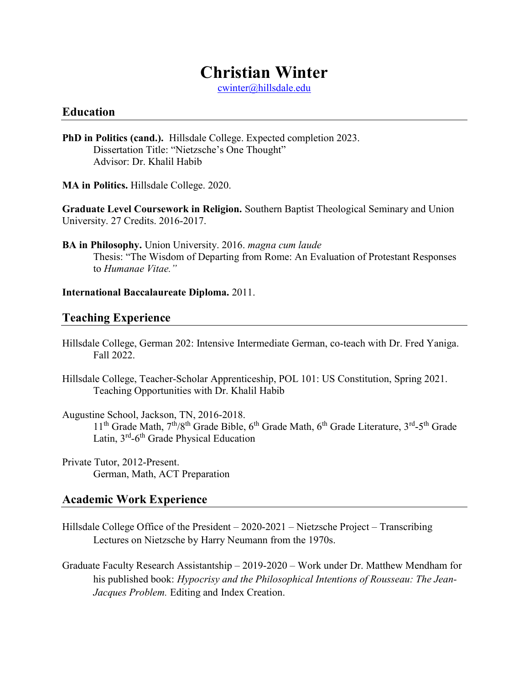# Christian Winter

cwinter@hillsdale.edu

#### Education

- PhD in Politics (cand.). Hillsdale College. Expected completion 2023. Dissertation Title: "Nietzsche's One Thought" Advisor: Dr. Khalil Habib
- MA in Politics. Hillsdale College. 2020.

Graduate Level Coursework in Religion. Southern Baptist Theological Seminary and Union University. 27 Credits. 2016-2017.

BA in Philosophy. Union University. 2016. magna cum laude Thesis: "The Wisdom of Departing from Rome: An Evaluation of Protestant Responses to Humanae Vitae."

#### International Baccalaureate Diploma. 2011.

## Teaching Experience

- Hillsdale College, German 202: Intensive Intermediate German, co-teach with Dr. Fred Yaniga. Fall 2022.
- Hillsdale College, Teacher-Scholar Apprenticeship, POL 101: US Constitution, Spring 2021. Teaching Opportunities with Dr. Khalil Habib

Augustine School, Jackson, TN, 2016-2018.  $11<sup>th</sup>$  Grade Math,  $7<sup>th</sup>/8<sup>th</sup>$  Grade Bible,  $6<sup>th</sup>$  Grade Math,  $6<sup>th</sup>$  Grade Literature,  $3<sup>rd</sup>$ - $5<sup>th</sup>$  Grade Latin,  $3<sup>rd</sup> - 6<sup>th</sup>$  Grade Physical Education

Private Tutor, 2012-Present. German, Math, ACT Preparation

### Academic Work Experience

- Hillsdale College Office of the President 2020-2021 Nietzsche Project Transcribing Lectures on Nietzsche by Harry Neumann from the 1970s.
- Graduate Faculty Research Assistantship 2019-2020 Work under Dr. Matthew Mendham for his published book: Hypocrisy and the Philosophical Intentions of Rousseau: The Jean-Jacques Problem. Editing and Index Creation.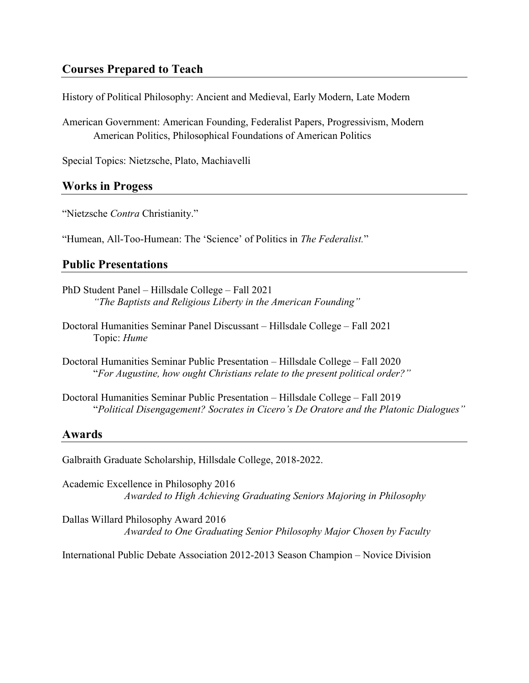## Courses Prepared to Teach

History of Political Philosophy: Ancient and Medieval, Early Modern, Late Modern

American Government: American Founding, Federalist Papers, Progressivism, Modern American Politics, Philosophical Foundations of American Politics

Special Topics: Nietzsche, Plato, Machiavelli

#### Works in Progess

"Nietzsche Contra Christianity."

"Humean, All-Too-Humean: The 'Science' of Politics in The Federalist."

#### Public Presentations

- PhD Student Panel Hillsdale College Fall 2021 "The Baptists and Religious Liberty in the American Founding"
- Doctoral Humanities Seminar Panel Discussant Hillsdale College Fall 2021 Topic: Hume
- Doctoral Humanities Seminar Public Presentation Hillsdale College Fall 2020 "For Augustine, how ought Christians relate to the present political order?"
- Doctoral Humanities Seminar Public Presentation Hillsdale College Fall 2019 "Political Disengagement? Socrates in Cicero's De Oratore and the Platonic Dialogues"

#### Awards

Galbraith Graduate Scholarship, Hillsdale College, 2018-2022.

Academic Excellence in Philosophy 2016 Awarded to High Achieving Graduating Seniors Majoring in Philosophy

Dallas Willard Philosophy Award 2016 Awarded to One Graduating Senior Philosophy Major Chosen by Faculty

International Public Debate Association 2012-2013 Season Champion – Novice Division